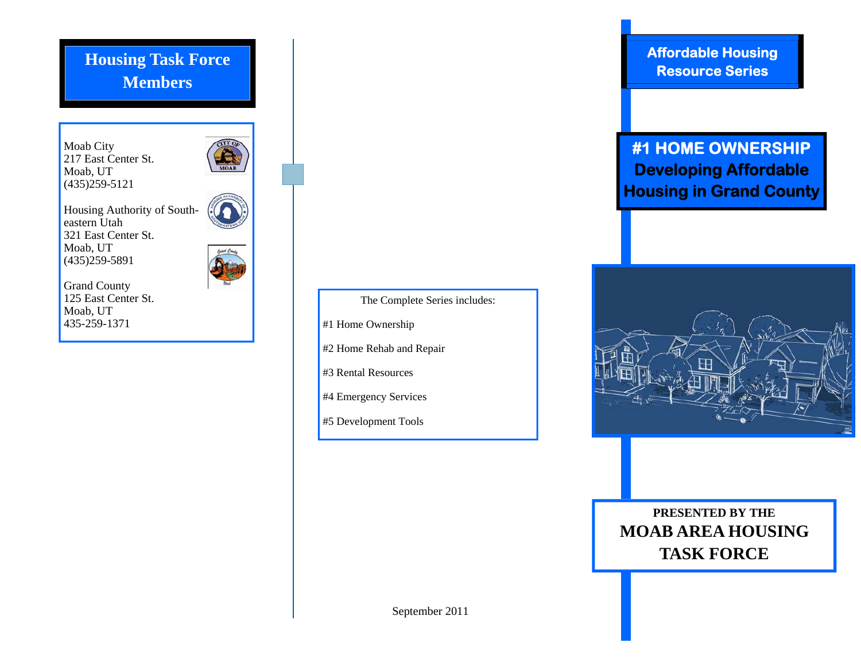## **Members Housing Task Force**

Moab City 217 East Center St. Moab, UT  $(435)$ 259-5121



Housing Authority of Southeastern Utah 321 East Center St. Moab, UT (435)259-5891



Grand County 125 East Center St. Moab, UT 435-259-1371



The Complete Series includes:

#1 Home Ownership

#2 Home Rehab and Repair

#3 Rental Resources

#4 Emergency Services

#5 Development Tools

**Affordable Housing Resource Series** 

## **#1 HOME OWNERSHIP Developing Affordable Housing in Grand County**



**PRESENTED BY THE MOAB AREA HOUSING TASK FORCE** 

September 2011